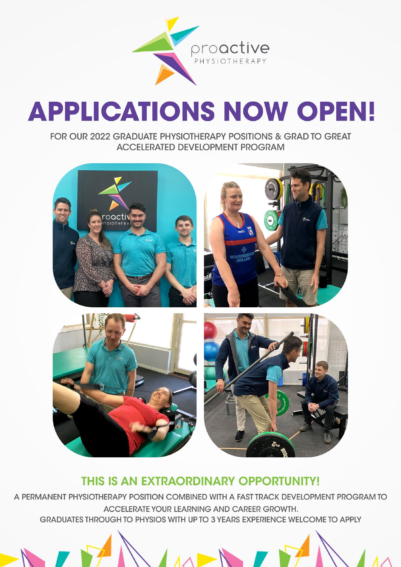

# **APPLICATIONS NOW OPEN!**

FOR OUR 2022 GRADUATE PHYSIOTHERAPY POSITIONS & GRAD TO GREAT **ACCELERATED DEVELOPMENT PROGRAM** 



## THIS IS AN EXTRAORDINARY OPPORTUNITY!

A PERMANENT PHYSIOTHERAPY POSITION COMBINED WITH A FAST TRACK DEVELOPMENT PROGRAM TO ACCELERATE YOUR LEARNING AND CAREER GROWTH. GRADUATES THROUGH TO PHYSIOS WITH UP TO 3 YEARS EXPERIENCE WELCOME TO APPLY

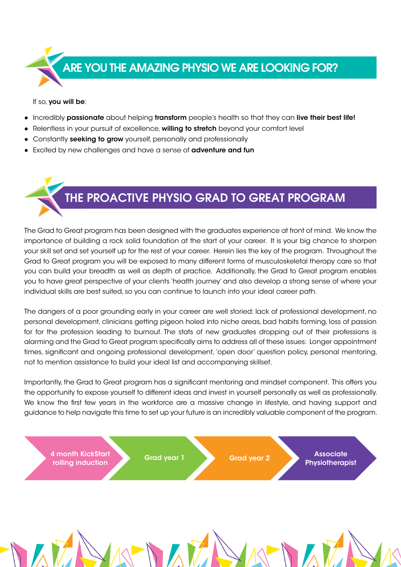

If so, you will be:

- Incredibly passionate about helping transform people's health so that they can live their best life!
- Relentless in your pursuit of excellence, willing to stretch beyond your comfort level
- Constantly seeking to grow yourself, personally and professionally
- Excited by new challenges and have a sense of **adventure and fun**



The Grad to Great program has been designed with the graduates experience at front of mind. We know the importance of building a rock solid foundation at the start of your career. It is your big chance to sharpen your skill set and set yourself up for the rest of your career. Herein lies the key of the program. Throughout the Grad to Great program you will be exposed to many different forms of musculoskeletal therapy care so that you can build your breadth as well as depth of practice. Additionally, the Grad to Great program enables you to have great perspective of your clients 'health journey' and also develop a strong sense of where your individual skills are best suited, so you can continue to launch into your ideal career path.

The dangers of a poor grounding early in your career are well storied: lack of professional development, no personal development, clinicians getting pigeon holed into niche areas, bad habits forming, loss of passion for for the profession leading to burnout. The stats of new graduates dropping out of their professions is alarming and the Grad to Great program specifically aims to address all of these issues: Longer appointment times, significant and ongoing professional development, 'open door' question policy, personal mentoring, not to mention assistance to build your ideal list and accompanying skillset.

Importantly, the Grad to Great program has a significant mentoring and mindset component. This offers you the opportunity to expose yourself to different ideas and invest in yourself personally as well as professionally. We know the first few years in the workforce are a massive change in lifestyle, and having support and guidance to help navigate this time to set up your future is an incredibly valuable component of the program.

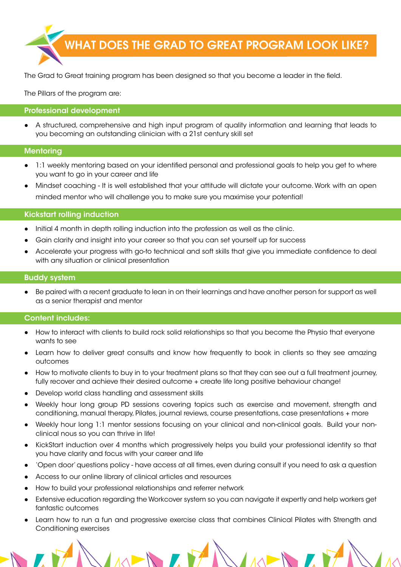

The Grad to Great training program has been designed so that you become a leader in the field.

The Pillars of the program are:

#### Professional development

A structured, comprehensive and high input program of quality information and learning that leads to you becoming an outstanding clinician with a 21st century skill set

#### **Mentoring**

- 1:1 weekly mentoring based on your identified personal and professional goals to help you get to where you want to go in your career and life
- Mindset coaching It is well established that your attitude will dictate your outcome. Work with an open minded mentor who will challenge you to make sure you maximise your potential!

#### Kickstart rolling induction

- Initial 4 month in depth rolling induction into the profession as well as the clinic.
- Gain clarity and insight into your career so that you can set yourself up for success
- Accelerate your progress with go-to technical and soft skills that give you immediate confidence to deal with any situation or clinical presentation

#### Buddy system

Be paired with a recent graduate to lean in on their learnings and have another person for support as well as a senior therapist and mentor

#### Content includes:

- How to interact with clients to build rock solid relationships so that you become the Physio that everyone wants to see
- Learn how to deliver great consults and know how frequently to book in clients so they see amazing outcomes
- How to motivate clients to buy in to your treatment plans so that they can see out a full treatment journey, fully recover and achieve their desired outcome + create life long positive behaviour change!
- Develop world class handling and assessment skills
- Weekly hour long group PD sessions covering topics such as exercise and movement, strength and conditioning, manual therapy, Pilates, journal reviews, course presentations, case presentations + more
- Weekly hour long 1:1 mentor sessions focusing on your clinical and non-clinical goals. Build your nonclinical nous so you can thrive in life!
- KickStart induction over 4 months which progressively helps you build your professional identity so that you have clarity and focus with your career and life
- 'Open door' questions policy have access at all times, even during consult if you need to ask a question
- Access to our online library of clinical articles and resources
- How to build your professional relationships and referrer network
- Extensive education regarding the Workcover system so you can navigate it expertly and help workers get fantastic outcomes
- Learn how to run a fun and progressive exercise class that combines Clinical Pilates with Strength and Conditioning exercises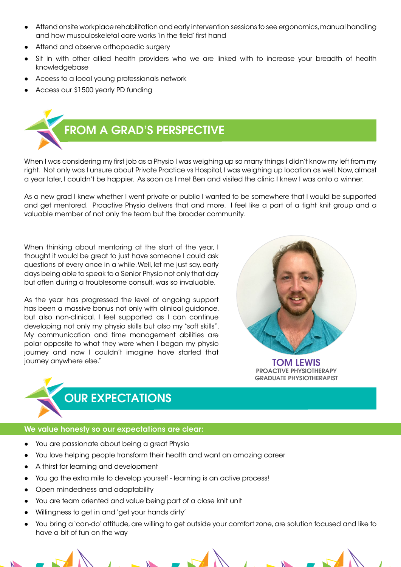- Attend onsite workplace rehabilitation and early intervention sessions to see ergonomics, manual handling and how musculoskeletal care works 'in the field' first hand
- Attend and observe orthopaedic surgery
- Sit in with other allied health providers who we are linked with to increase your breadth of health knowledgebase
- Access to a local young professionals network
- Access our \$1500 yearly PD funding



When I was considering my first job as a Physio I was weighing up so many things I didn't know my left from my right. Not only was I unsure about Private Practice vs Hospital, I was weighing up location as well. Now, almost a year later, I couldn't be happier. As soon as I met Ben and visited the clinic I knew I was onto a winner.

As a new grad I knew whether I went private or public I wanted to be somewhere that I would be supported and get mentored. Proactive Physio delivers that and more. I feel like a part of a tight knit group and a valuable member of not only the team but the broader community.

When thinking about mentoring at the start of the year, I thought it would be great to just have someone I could ask questions of every once in a while. Well, let me just say, early days being able to speak to a Senior Physio not only that day but often during a troublesome consult, was so invaluable.

As the year has progressed the level of ongoing support has been a massive bonus not only with clinical guidance, but also non-clinical. I feel supported as I can continue developing not only my physio skills but also my "soft skills". My communication and time management abilities are polar opposite to what they were when I began my physio journey and now I couldn't imagine have started that journey anywhere else." TOM LEWIS



PROACTIVE PHYSIOTHERAPY GRADUATE PHYSIOTHERAPIST



### We value honesty so our expectations are clear:

- You are passionate about being a great Physio
- You love helping people transform their health and want an amazing career
- A thirst for learning and development
- You go the extra mile to develop yourself learning is an active process!
- Open mindedness and adaptability
- You are team oriented and value being part of a close knit unit
- Willingness to get in and 'get your hands dirty'
- You bring a 'can-do' attitude, are willing to get outside your comfort zone, are solution focused and like to have a bit of fun on the way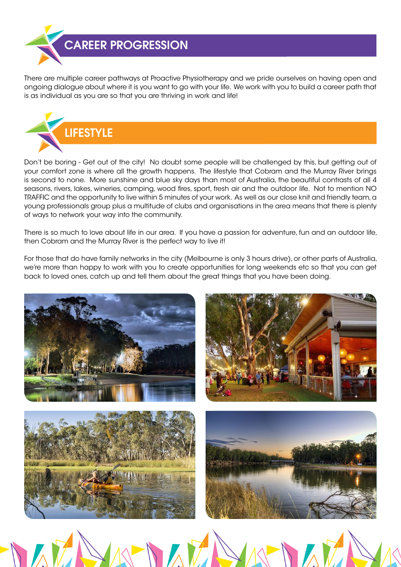

There are multiple career pathways at Proactive Physiotherapy and we pride ourselves on having open and ongoing dialogue about where it is you want to go with your life. We work with you to build a career path that is as individual as you are so that you are thriving in work and life!



Don't be boring - Get out of the city! No doubt some people will be challenged by this, but getting out of your comfort zone is where all the growth happens. The lifestyle that Cobram and the Murray River brings is second to none. More sunshine and blue sky days than most of Australia, the beautiful contrasts of all 4 seasons, rivers, lakes, wineries, camping, wood fires, sport, fresh air and the outdoor life. Not to mention NO TRAFFIC and the opportunity to live within 5 minutes of your work. As well as our close knit and friendly team, a young professionals group plus a multitude of clubs and organisations in the area means that there is plenty of ways to network your way into the community.

There is so much to love about life in our area. If you have a passion for adventure, fun and an outdoor life, then Cobram and the Murray River is the perfect way to live it!

For those that do have family networks in the city (Melbourne is only 3 hours drive), or other parts of Australia, we're more than happy to work with you to create opportunities for long weekends etc so that you can get back to loved ones, catch up and tell them about the great things that you have been doing.